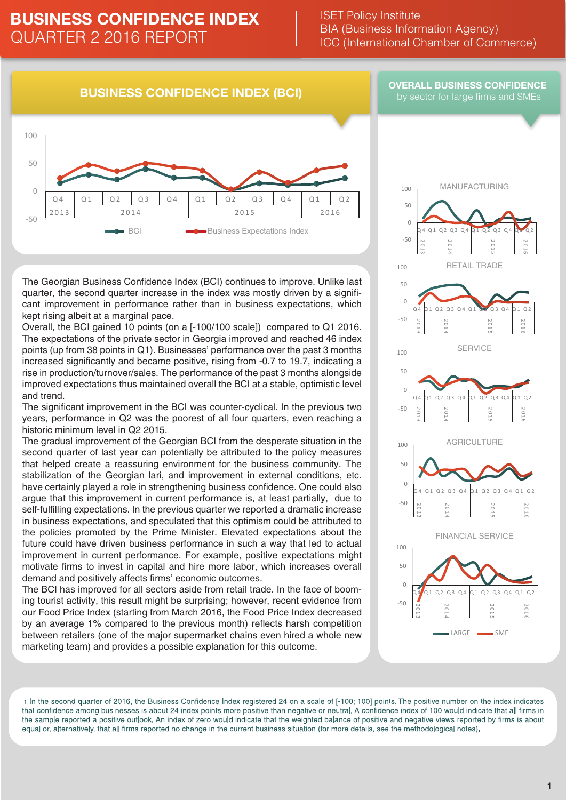### ISET Policy Institute BIA (Business Information Agency) ICC (International Chamber of Commerce)

### **BUSINESS CONFIDENCE INDEX (BCI)**

#### **OVERALL BUSINESS CONFIDENCE**  by sector for large firms and SMEs



The Georgian Business Confidence Index (BCI) continues to improve. Unlike last quarter, the second quarter increase in the index was mostly driven by a significant improvement in performance rather than in business expectations, which kept rising albeit at a marginal pace.

Overall, the BCI gained 10 points (on a [-100/100 scale]) compared to Q1 2016. The expectations of the private sector in Georgia improved and reached 46 index points (up from 38 points in Q1). Businesses' performance over the past 3 months increased significantly and became positive, rising from -0.7 to 19.7, indicating a rise in production/turnover/sales. The performance of the past 3 months alongside improved expectations thus maintained overall the BCI at a stable, optimistic level and trend.

The significant improvement in the BCI was counter-cyclical. In the previous two years, performance in Q2 was the poorest of all four quarters, even reaching a historic minimum level in Q2 2015.

The gradual improvement of the Georgian BCI from the desperate situation in the second quarter of last year can potentially be attributed to the policy measures that helped create a reassuring environment for the business community. The stabilization of the Georgian lari, and improvement in external conditions, etc. have certainly played a role in strengthening business confidence. One could also argue that this improvement in current performance is, at least partially, due to self-fulfilling expectations. In the previous quarter we reported a dramatic increase in business expectations, and speculated that this optimism could be attributed to the policies promoted by the Prime Minister. Elevated expectations about the future could have driven business performance in such a way that led to actual improvement in current performance. For example, positive expectations might motivate firms to invest in capital and hire more labor, which increases overall demand and positively affects firms' economic outcomes.

The BCI has improved for all sectors aside from retail trade. In the face of booming tourist activity, this result might be surprising; however, recent evidence from our Food Price Index (starting from March 2016, the Food Price Index decreased by an average 1% compared to the previous month) reflects harsh competition between retailers (one of the major supermarket chains even hired a whole new marketing team) and provides a possible explanation for this outcome.



1 In the second quarter of 2016, the Business Confidence Index registered 24 on a scale of [-100; 100] points. The positive number on the index indicates that confidence among businesses is about 24 index points more positive than negative or neutral. A confidence index of 100 would indicate that all firms in the sample reported a positive outlook. An index of zero would indicate that the weighted balance of positive and negative views reported by firms is about equal or, alternatively, that all firms reported no change in the current business situation (for more details, see the methodological notes).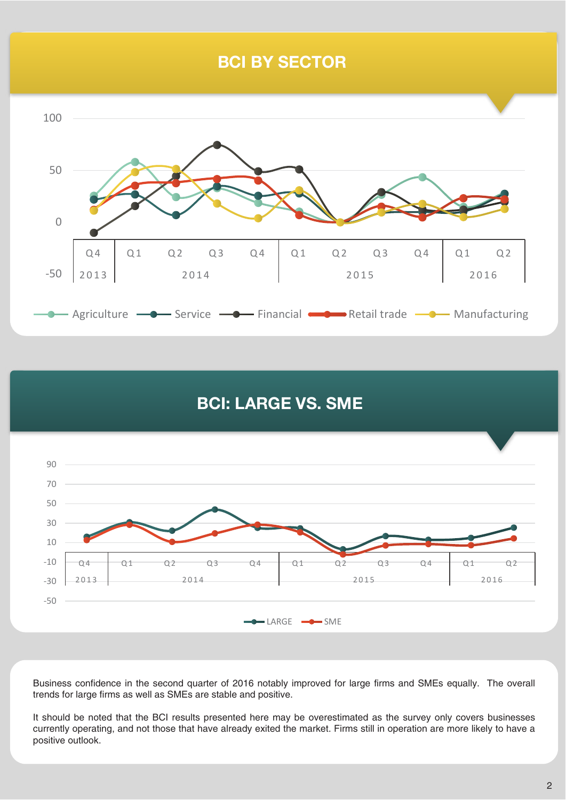# **BCI BY SECTOR**



# **BCI: LARGE VS. SME**



Business confidence in the second quarter of 2016 notably improved for large firms and SMEs equally. The overall trends for large firms as well as SMEs are stable and positive.

It should be noted that the BCI results presented here may be overestimated as the survey only covers businesses currently operating, and not those that have already exited the market. Firms still in operation are more likely to have a positive outlook.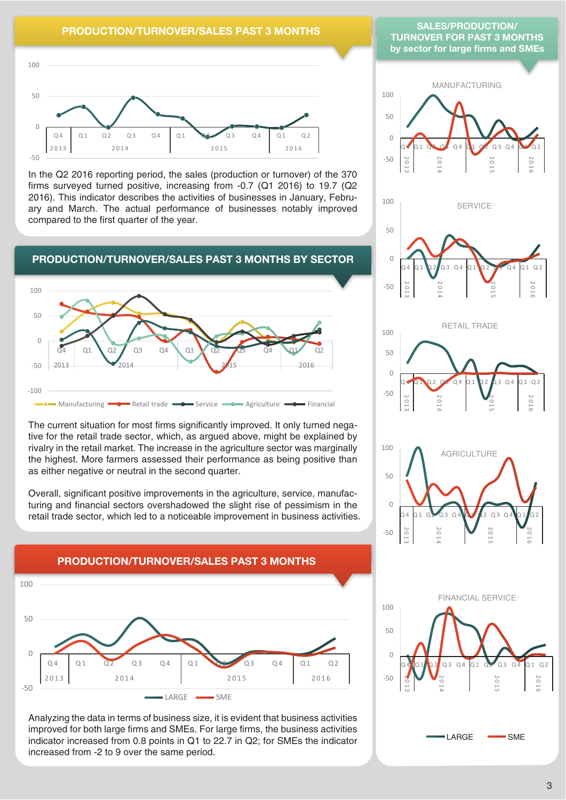### **PRODUCTION/TURNOVER/SALES PAST 3 MONTHS**



In the Q2 2016 reporting period, the sales (production or turnover) of the 370 firms surveyed turned positive, increasing from -0.7 (Q1 2016) to 19.7 (Q2 2016). This indicator describes the activities of businesses in January, February and March. The actual performance of businesses notably improved compared to the first quarter of the year.



The current situation for most firms significantly improved. It only turned negative for the retail trade sector, which, as argued above, might be explained by rivalry in the retail market. The increase in the agriculture sector was marginally the highest. More farmers assessed their performance as being positive than as either negative or neutral in the second quarter.

Overall, significant positive improvements in the agriculture, service, manufacturing and financial sectors overshadowed the slight rise of pessimism in the retail trade sector, which led to a noticeable improvement in business activities.



Analyzing the data in terms of business size, it is evident that business activities improved for both large firms and SMEs. For large firms, the business activities indicator increased from 0.8 points in Q1 to 22.7 in Q2; for SMEs the indicator increased from -2 to 9 over the same period.

#### **SALES/PRODUCTION/ TURNOVER FOR PAST 3 MONTHS by sector for large firms and SMEs**











# **PRODUCTION/TURNOVER/SALES PAST 3 MONTHS**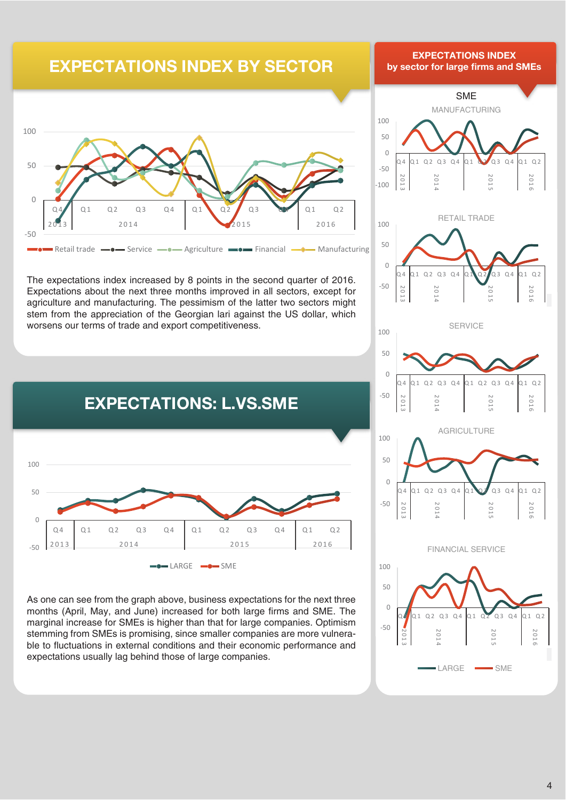# **EXPECTATIONS INDEX BY SECTOR**



The expectations index increased by 8 points in the second quarter of 2016. Expectations about the next three months improved in all sectors, except for agriculture and manufacturing. The pessimism of the latter two sectors might stem from the appreciation of the Georgian lari against the US dollar, which worsens our terms of trade and export competitiveness.



As one can see from the graph above, business expectations for the next three months (April, May, and June) increased for both large firms and SME. The marginal increase for SMEs is higher than that for large companies. Optimism stemming from SMEs is promising, since smaller companies are more vulnerable to fluctuations in external conditions and their economic performance and expectations usually lag behind those of large companies.

## **EXPECTATIONS INDEX EXPECTATIONS INDEX by sector for large firms and SMEs**







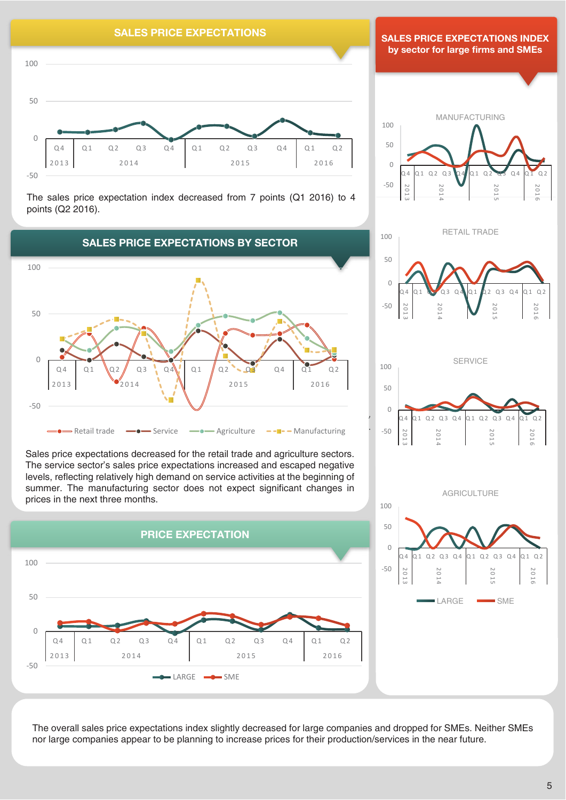

The sales price expectation index decreased from 7 points (Q1 2016) to 4 points (Q2 2016).



Sales price expectations decreased for the retail trade and agriculture sectors. The service sector's sales price expectations increased and escaped negative levels, reflecting relatively high demand on service activities at the beginning of summer. The manufacturing sector does not expect significant changes in prices in the next three months.



**SALES PRICE EXPECTATIONS INDEX by sector for large firms and SMEs** 









The overall sales price expectations index slightly decreased for large companies and dropped for SMEs. Neither SMEs nor large companies appear to be planning to increase prices for their production/services in the near future.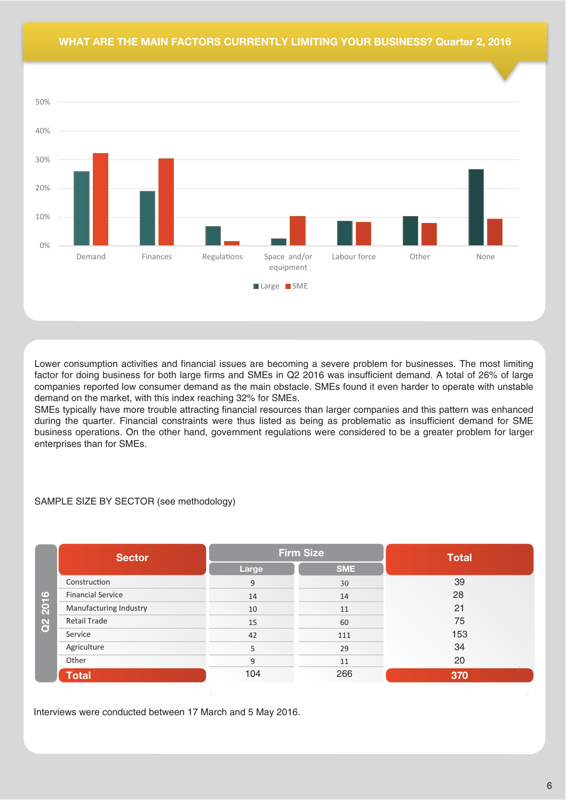### **WHAT ARE THE MAIN FACTORS CURRENTLY LIMITING YOUR BUSINESS? Quarter 2, 2016**



Lower consumption activities and financial issues are becoming a severe problem for businesses. The most limiting factor for doing business for both large firms and SMEs in Q2 2016 was insufficient demand. A total of 26% of large companies reported low consumer demand as the main obstacle. SMEs found it even harder to operate with unstable demand on the market, with this index reaching 32% for SMEs.

SMEs typically have more trouble attracting financial resources than larger companies and this pattern was enhanced during the quarter. Financial constraints were thus listed as being as problematic as insufficient demand for SME business operations. On the other hand, government regulations were considered to be a greater problem for larger enterprises than for SMEs.

### SAMPLE SIZE BY SECTOR (see methodology)

|                                  | <b>Sector</b>            |       | <b>Firm Size</b> | <b>Total</b> |  |
|----------------------------------|--------------------------|-------|------------------|--------------|--|
| $\bullet$<br>$\overline{a}$<br>8 |                          | Large | <b>SME</b>       |              |  |
|                                  | Construction             | 9     | 30               | 39           |  |
|                                  | <b>Financial Service</b> | 14    | 14               | 28           |  |
|                                  | Manufacturing Industry   | 10    | 11               | 21           |  |
|                                  | <b>Retail Trade</b>      | 15    | 60               | 75           |  |
|                                  | Service                  | 42    | 111              | 153          |  |
|                                  | Agriculture              | 5     | 29               | 34           |  |
|                                  | Other                    | 9     | 11               | 20           |  |
|                                  | <b>Total</b>             | 104   | 266              | 370          |  |

Interviews were conducted between 17 March and 5 May 2016.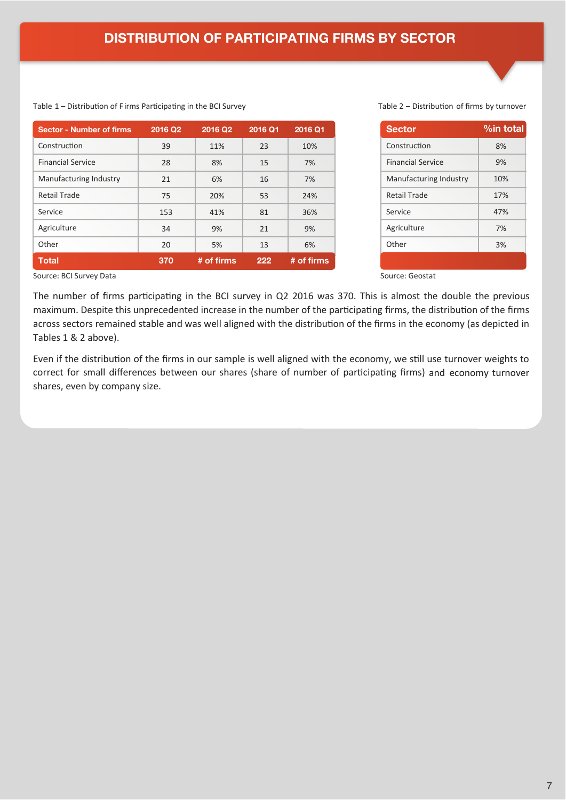| <b>Sector - Number of firms</b> | 2016 Q2 | 2016 Q2    | 2016 Q1 | 2016 Q1    | <b>Sector</b>            | $%$ int |
|---------------------------------|---------|------------|---------|------------|--------------------------|---------|
| Construction                    | 39      | 11%        | 23      | 10%        | Construction             |         |
| <b>Financial Service</b>        | 28      | 8%         | 15      | 7%         | <b>Financial Service</b> |         |
| Manufacturing Industry          | 21      | 6%         | 16      | 7%         | Manufacturing Industry   |         |
| <b>Retail Trade</b>             | 75      | 20%        | 53      | 24%        | Retail Trade             |         |
| Service                         | 153     | 41%        | 81      | 36%        | Service                  |         |
| Agriculture                     | 34      | 9%         | 21      | 9%         | Agriculture              |         |
| Other                           | 20      | 5%         | 13      | 6%         | Other                    |         |
| <b>Total</b>                    | 370     | # of firms | 222     | # of firms |                          |         |

#### Table 1 – Distribution of Firms Participating in the BCI Survey Table 2 – Distribution of firms by turnover

| <b>Sector</b>            | %in total |
|--------------------------|-----------|
| Construction             | 8%        |
| <b>Financial Service</b> | 9%        |
| Manufacturing Industry   | 10%       |
| Retail Trade             | 17%       |
| Service                  | 47%       |
| Agriculture              | 7%        |
| Other                    | 3%        |
|                          |           |

Source: BCI Survey Data Source: Geostat

The number of firms participating in the BCI survey in Q2 2016 was 370. This is almost the double the previous maximum. Despite this unprecedented increase in the number of the participating firms, the distribution of the firms across sectors remained stable and was well aligned with the distribution of the firms in the economy (as depicted in Tables 1 & 2 above).

Even if the distribution of the firms in our sample is well aligned with the economy, we still use turnover weights to correct for small differences between our shares (share of number of participating firms) and economy turnover shares, even by company size.